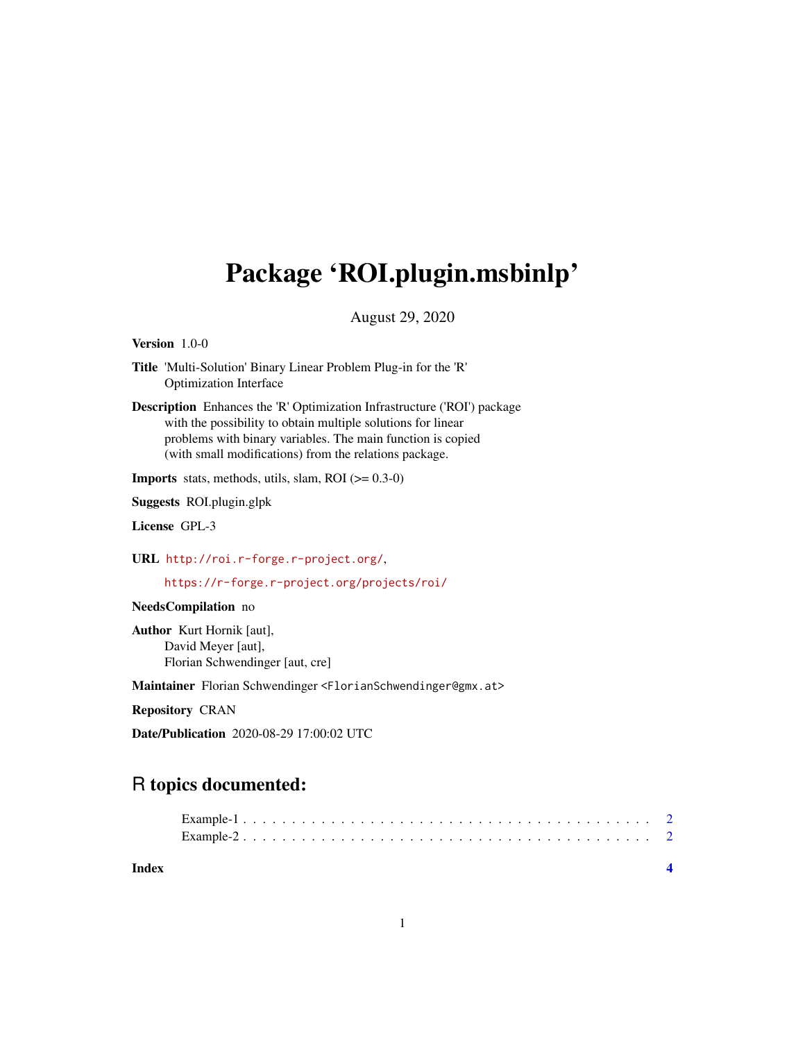## Package 'ROI.plugin.msbinlp'

August 29, 2020

Version 1.0-0

Title 'Multi-Solution' Binary Linear Problem Plug-in for the 'R' Optimization Interface

Description Enhances the 'R' Optimization Infrastructure ('ROI') package with the possibility to obtain multiple solutions for linear problems with binary variables. The main function is copied (with small modifications) from the relations package.

**Imports** stats, methods, utils, slam, ROI  $(>= 0.3-0)$ 

Suggests ROI.plugin.glpk

License GPL-3

URL <http://roi.r-forge.r-project.org/>,

<https://r-forge.r-project.org/projects/roi/>

NeedsCompilation no

Author Kurt Hornik [aut], David Meyer [aut], Florian Schwendinger [aut, cre]

Maintainer Florian Schwendinger <FlorianSchwendinger@gmx.at>

Repository CRAN

Date/Publication 2020-08-29 17:00:02 UTC

### R topics documented:

| Index |  |  |  |  |  |  |  |  |  |  |  |  |  |  |  |  |  |
|-------|--|--|--|--|--|--|--|--|--|--|--|--|--|--|--|--|--|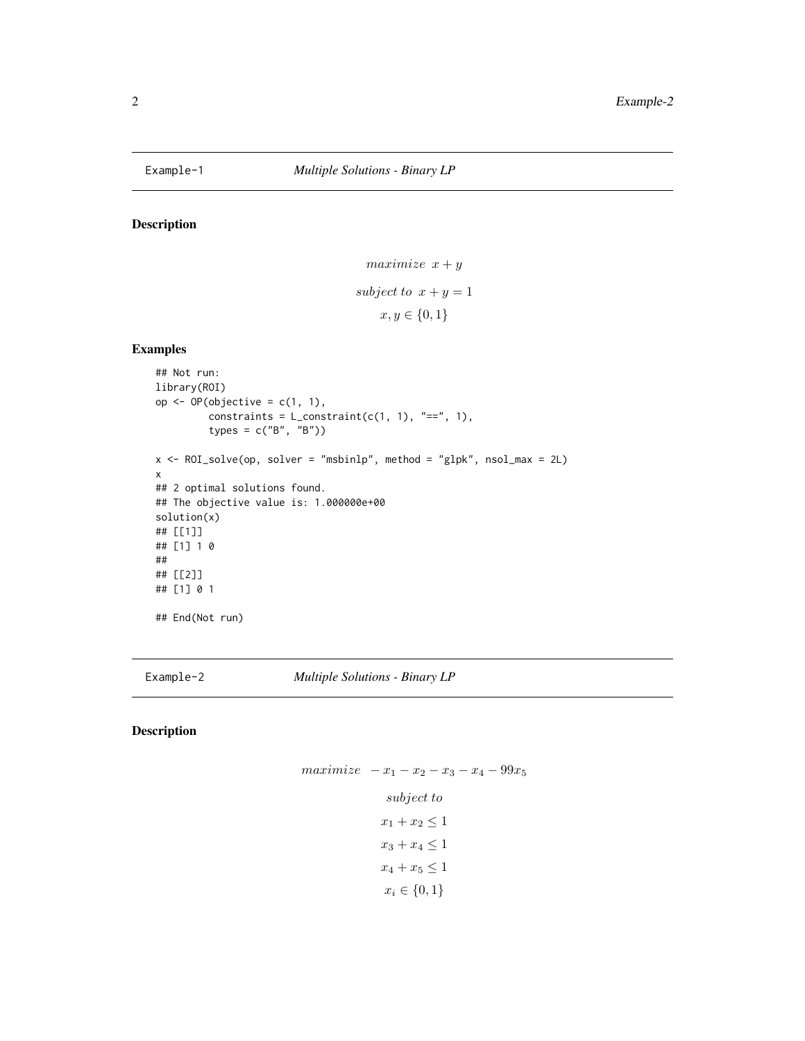<span id="page-1-0"></span>

#### Description

```
maximize x + ysubject to x + y = 1x, y \in \{0, 1\}
```
#### Examples

```
## Not run:
library(ROI)
op <- OP(objective = c(1, 1),
         constraints = L_{\text{constant}}(c(1, 1), "==", 1),
         types = c("B", "B"))
x <- ROI_solve(op, solver = "msbinlp", method = "glpk", nsol_max = 2L)
x
## 2 optimal solutions found.
## The objective value is: 1.000000e+00
solution(x)
## [[1]]
## [1] 1 0
##
## [[2]]
## [1] 0 1
## End(Not run)
```
Example-2 *Multiple Solutions - Binary LP*

#### Description

 $maximize$   $-x_1 - x_2 - x_3 - x_4 - 99x_5$ subject to  $x_1 + x_2 \leq 1$  $x_3 + x_4 \leq 1$  $x_4 + x_5 \leq 1$ 

$$
x_i \in \{0,1\}
$$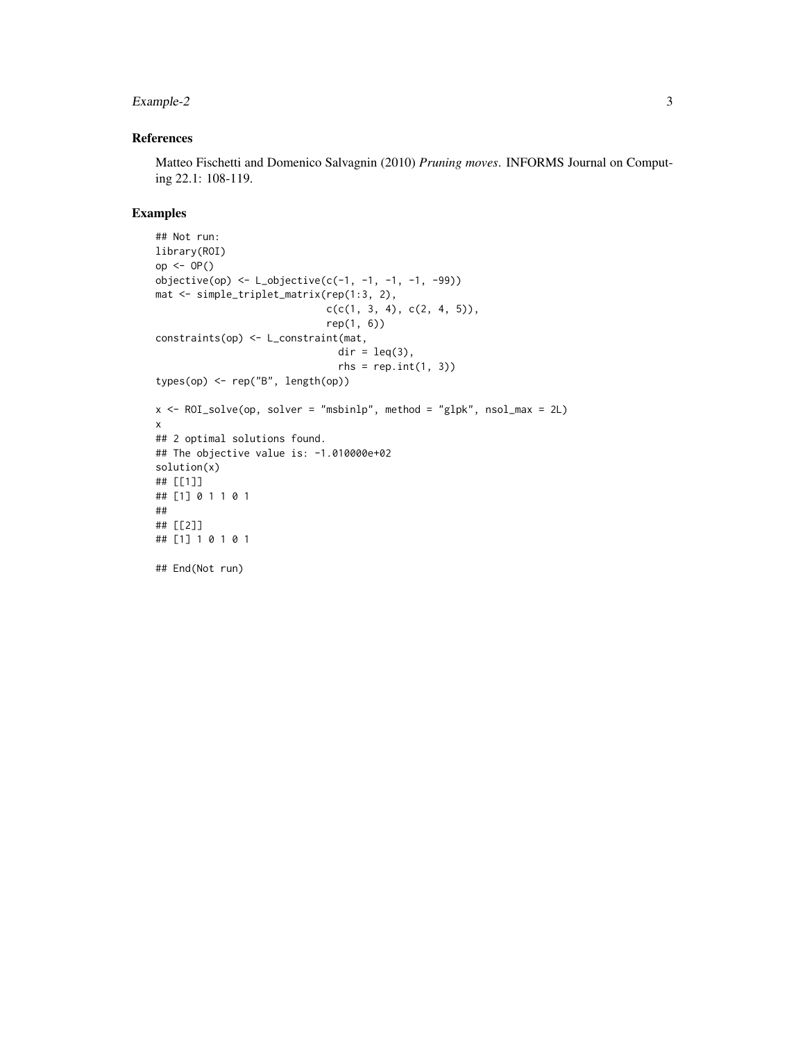#### Example-2 3

#### References

Matteo Fischetti and Domenico Salvagnin (2010) *Pruning moves*. INFORMS Journal on Computing 22.1: 108-119.

#### Examples

```
## Not run:
library(ROI)
op <- OP()
objective(op) < - L_objective(c(-1, -1, -1, -1, -99))mat <- simple_triplet_matrix(rep(1:3, 2),
                             c(c(1, 3, 4), c(2, 4, 5)),rep(1, 6))
constraints(op) <- L_constraint(mat,
                               dir = leq(3),
                               rhs = rep.int(1, 3)types(op) <- rep("B", length(op))
x <- ROI_solve(op, solver = "msbinlp", method = "glpk", nsol_max = 2L)
x
## 2 optimal solutions found.
## The objective value is: -1.010000e+02
solution(x)
## [[1]]
## [1] 0 1 1 0 1
##
## [[2]]
## [1] 1 0 1 0 1
## End(Not run)
```